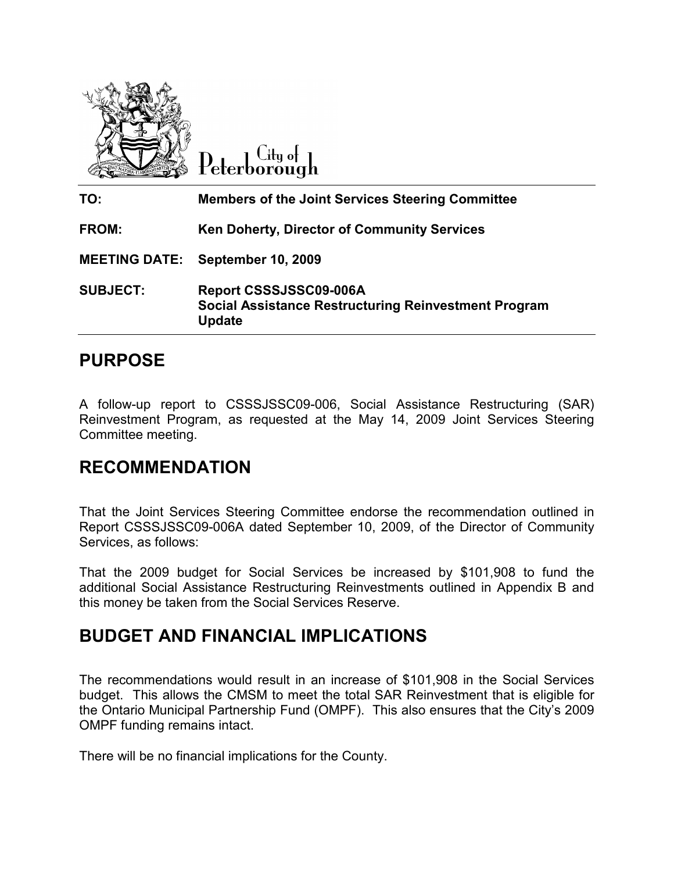

City of Peterborough

| TO:             | <b>Members of the Joint Services Steering Committee</b>                                                |
|-----------------|--------------------------------------------------------------------------------------------------------|
| <b>FROM:</b>    | <b>Ken Doherty, Director of Community Services</b>                                                     |
|                 | <b>MEETING DATE: September 10, 2009</b>                                                                |
| <b>SUBJECT:</b> | Report CSSSJSSC09-006A<br><b>Social Assistance Restructuring Reinvestment Program</b><br><b>Update</b> |

## PURPOSE

A follow-up report to CSSSJSSC09-006, Social Assistance Restructuring (SAR) Reinvestment Program, as requested at the May 14, 2009 Joint Services Steering Committee meeting.

## RECOMMENDATION

That the Joint Services Steering Committee endorse the recommendation outlined in Report CSSSJSSC09-006A dated September 10, 2009, of the Director of Community Services, as follows:

That the 2009 budget for Social Services be increased by \$101,908 to fund the additional Social Assistance Restructuring Reinvestments outlined in Appendix B and this money be taken from the Social Services Reserve.

## BUDGET AND FINANCIAL IMPLICATIONS

The recommendations would result in an increase of \$101,908 in the Social Services budget. This allows the CMSM to meet the total SAR Reinvestment that is eligible for the Ontario Municipal Partnership Fund (OMPF). This also ensures that the City's 2009 OMPF funding remains intact.

There will be no financial implications for the County.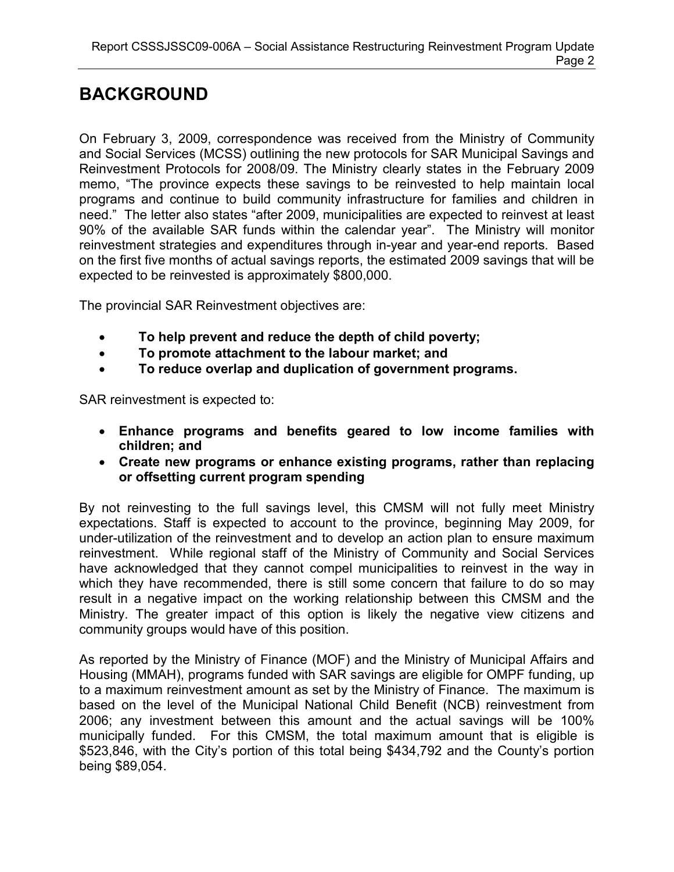# BACKGROUND

On February 3, 2009, correspondence was received from the Ministry of Community and Social Services (MCSS) outlining the new protocols for SAR Municipal Savings and Reinvestment Protocols for 2008/09. The Ministry clearly states in the February 2009 memo, "The province expects these savings to be reinvested to help maintain local programs and continue to build community infrastructure for families and children in need." The letter also states "after 2009, municipalities are expected to reinvest at least 90% of the available SAR funds within the calendar year". The Ministry will monitor reinvestment strategies and expenditures through in-year and year-end reports. Based on the first five months of actual savings reports, the estimated 2009 savings that will be expected to be reinvested is approximately \$800,000.

The provincial SAR Reinvestment objectives are:

- To help prevent and reduce the depth of child poverty;
- To promote attachment to the labour market; and
- To reduce overlap and duplication of government programs.

SAR reinvestment is expected to:

- Enhance programs and benefits geared to low income families with children; and
- Create new programs or enhance existing programs, rather than replacing or offsetting current program spending

By not reinvesting to the full savings level, this CMSM will not fully meet Ministry expectations. Staff is expected to account to the province, beginning May 2009, for under-utilization of the reinvestment and to develop an action plan to ensure maximum reinvestment. While regional staff of the Ministry of Community and Social Services have acknowledged that they cannot compel municipalities to reinvest in the way in which they have recommended, there is still some concern that failure to do so may result in a negative impact on the working relationship between this CMSM and the Ministry. The greater impact of this option is likely the negative view citizens and community groups would have of this position.

As reported by the Ministry of Finance (MOF) and the Ministry of Municipal Affairs and Housing (MMAH), programs funded with SAR savings are eligible for OMPF funding, up to a maximum reinvestment amount as set by the Ministry of Finance. The maximum is based on the level of the Municipal National Child Benefit (NCB) reinvestment from 2006; any investment between this amount and the actual savings will be 100% municipally funded. For this CMSM, the total maximum amount that is eligible is \$523,846, with the City's portion of this total being \$434,792 and the County's portion being \$89,054.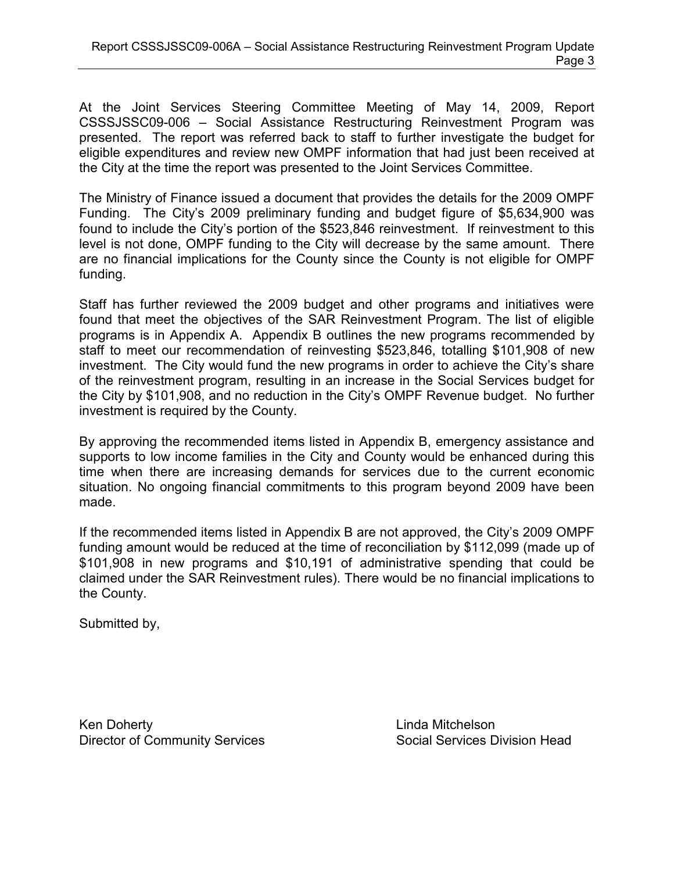At the Joint Services Steering Committee Meeting of May 14, 2009, Report CSSSJSSC09-006 – Social Assistance Restructuring Reinvestment Program was presented. The report was referred back to staff to further investigate the budget for eligible expenditures and review new OMPF information that had just been received at the City at the time the report was presented to the Joint Services Committee.

The Ministry of Finance issued a document that provides the details for the 2009 OMPF Funding. The City's 2009 preliminary funding and budget figure of \$5,634,900 was found to include the City's portion of the \$523,846 reinvestment. If reinvestment to this level is not done, OMPF funding to the City will decrease by the same amount. There are no financial implications for the County since the County is not eligible for OMPF funding.

Staff has further reviewed the 2009 budget and other programs and initiatives were found that meet the objectives of the SAR Reinvestment Program. The list of eligible programs is in Appendix A. Appendix B outlines the new programs recommended by staff to meet our recommendation of reinvesting \$523,846, totalling \$101,908 of new investment. The City would fund the new programs in order to achieve the City's share of the reinvestment program, resulting in an increase in the Social Services budget for the City by \$101,908, and no reduction in the City's OMPF Revenue budget. No further investment is required by the County.

By approving the recommended items listed in Appendix B, emergency assistance and supports to low income families in the City and County would be enhanced during this time when there are increasing demands for services due to the current economic situation. No ongoing financial commitments to this program beyond 2009 have been made.

If the recommended items listed in Appendix B are not approved, the City's 2009 OMPF funding amount would be reduced at the time of reconciliation by \$112,099 (made up of \$101,908 in new programs and \$10,191 of administrative spending that could be claimed under the SAR Reinvestment rules). There would be no financial implications to the County.

Submitted by,

Ken Doherty **Linda Mitchelson** Director of Community Services Social Services Division Head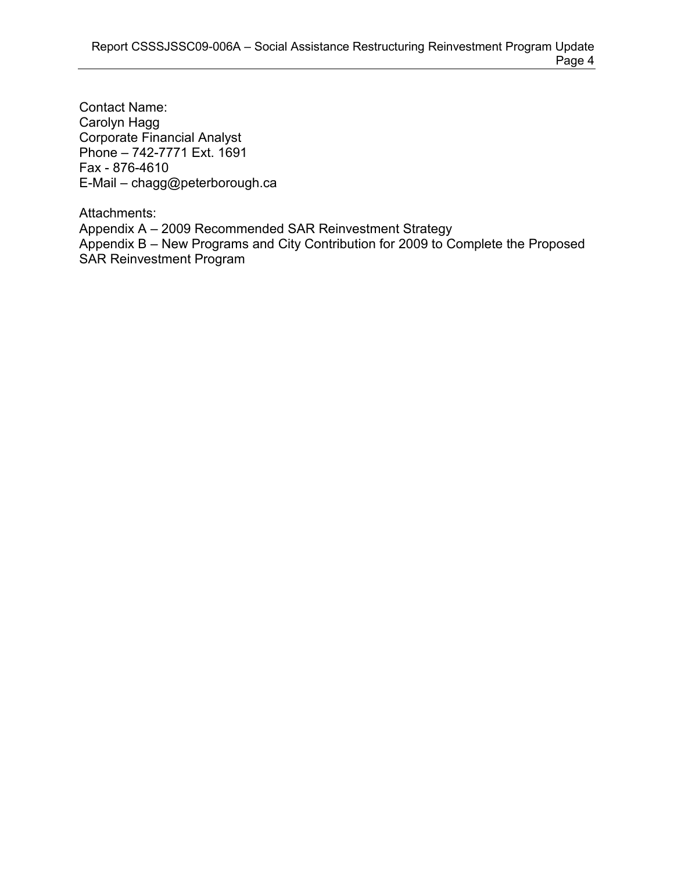Contact Name: Carolyn Hagg Corporate Financial Analyst Phone – 742-7771 Ext. 1691 Fax - 876-4610 E-Mail – chagg@peterborough.ca

Attachments: Appendix A – 2009 Recommended SAR Reinvestment Strategy Appendix B – New Programs and City Contribution for 2009 to Complete the Proposed SAR Reinvestment Program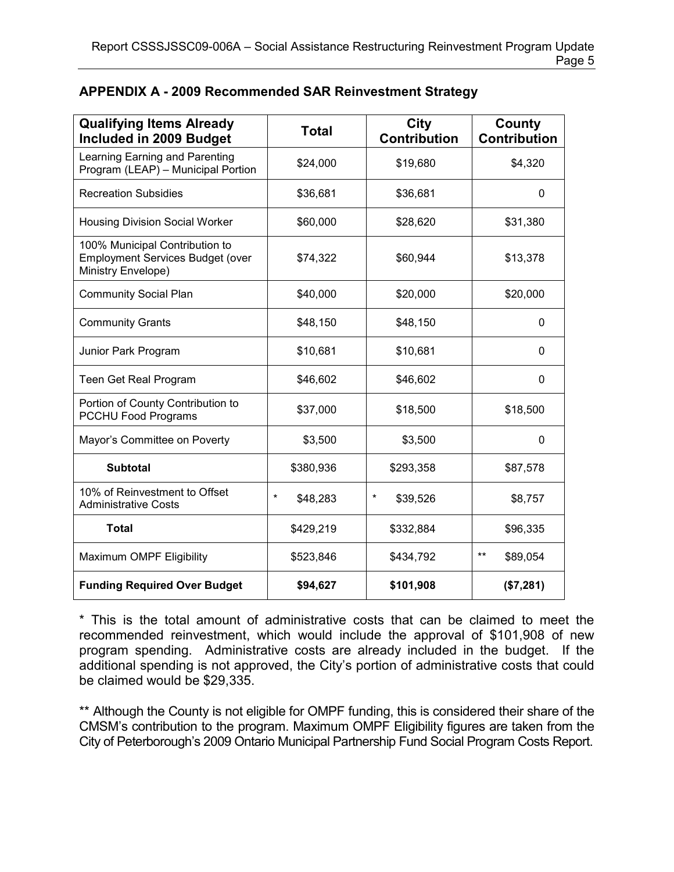| <b>Qualifying Items Already</b><br>Included in 2009 Budget                                      | <b>Total</b>        | City<br><b>Contribution</b> | County<br><b>Contribution</b> |
|-------------------------------------------------------------------------------------------------|---------------------|-----------------------------|-------------------------------|
| Learning Earning and Parenting<br>Program (LEAP) - Municipal Portion                            | \$24,000            | \$19,680                    | \$4,320                       |
| <b>Recreation Subsidies</b>                                                                     | \$36,681            | \$36,681                    | 0                             |
| <b>Housing Division Social Worker</b>                                                           | \$60,000            | \$28,620                    | \$31,380                      |
| 100% Municipal Contribution to<br><b>Employment Services Budget (over</b><br>Ministry Envelope) | \$74,322            | \$60,944                    | \$13,378                      |
| <b>Community Social Plan</b>                                                                    | \$40,000            | \$20,000                    | \$20,000                      |
| <b>Community Grants</b>                                                                         | \$48,150            | \$48,150                    | 0                             |
| Junior Park Program                                                                             | \$10,681            | \$10,681                    | 0                             |
| Teen Get Real Program                                                                           | \$46,602            | \$46,602                    | 0                             |
| Portion of County Contribution to<br>PCCHU Food Programs                                        | \$37,000            | \$18,500                    | \$18,500                      |
| Mayor's Committee on Poverty                                                                    | \$3,500             | \$3,500                     | 0                             |
| <b>Subtotal</b>                                                                                 | \$380,936           | \$293,358                   | \$87,578                      |
| 10% of Reinvestment to Offset<br><b>Administrative Costs</b>                                    | $\star$<br>\$48,283 | $\ast$<br>\$39,526          | \$8,757                       |
| <b>Total</b>                                                                                    | \$429,219           | \$332,884                   | \$96,335                      |
| Maximum OMPF Eligibility                                                                        | \$523,846           | \$434,792                   | $***$<br>\$89,054             |
| <b>Funding Required Over Budget</b>                                                             | \$94,627            | \$101,908                   | (\$7,281)                     |

#### APPENDIX A - 2009 Recommended SAR Reinvestment Strategy

\* This is the total amount of administrative costs that can be claimed to meet the recommended reinvestment, which would include the approval of \$101,908 of new program spending. Administrative costs are already included in the budget. If the additional spending is not approved, the City's portion of administrative costs that could be claimed would be \$29,335.

\*\* Although the County is not eligible for OMPF funding, this is considered their share of the CMSM's contribution to the program. Maximum OMPF Eligibility figures are taken from the City of Peterborough's 2009 Ontario Municipal Partnership Fund Social Program Costs Report.